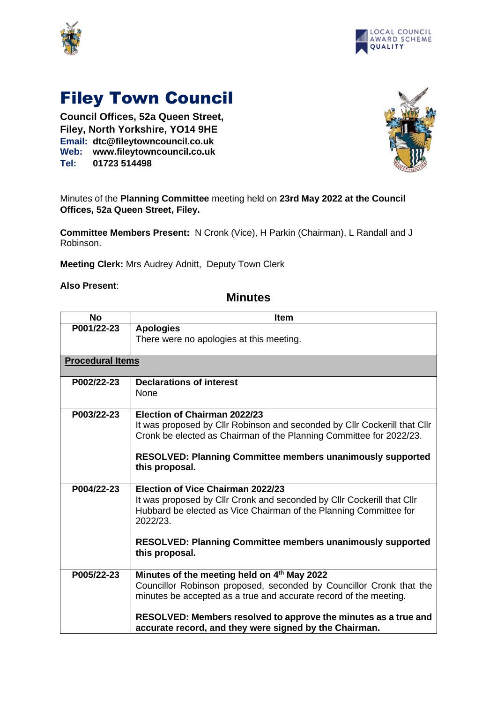



## Filey Town Council

**Council Offices, 52a Queen Street, Filey, North Yorkshire, YO14 9HE Email: dtc@fileytowncouncil.co.uk Web: www.fileytowncouncil.co.uk Tel: 01723 514498**



Minutes of the **Planning Committee** meeting held on **23rd May 2022 at the Council Offices, 52a Queen Street, Filey.**

**Committee Members Present:** N Cronk (Vice), H Parkin (Chairman), L Randall and J Robinson.

**Meeting Clerk:** Mrs Audrey Adnitt, Deputy Town Clerk

**Also Present**:

## **Minutes**

| <b>No</b>               | <b>Item</b>                                                                                                                                                                                                                                                                                                          |
|-------------------------|----------------------------------------------------------------------------------------------------------------------------------------------------------------------------------------------------------------------------------------------------------------------------------------------------------------------|
| P001/22-23              | <b>Apologies</b><br>There were no apologies at this meeting.                                                                                                                                                                                                                                                         |
| <b>Procedural Items</b> |                                                                                                                                                                                                                                                                                                                      |
| P002/22-23              | <b>Declarations of interest</b><br><b>None</b>                                                                                                                                                                                                                                                                       |
| P003/22-23              | Election of Chairman 2022/23<br>It was proposed by Cllr Robinson and seconded by Cllr Cockerill that Cllr<br>Cronk be elected as Chairman of the Planning Committee for 2022/23.<br><b>RESOLVED: Planning Committee members unanimously supported</b><br>this proposal.                                              |
| P004/22-23              | Election of Vice Chairman 2022/23<br>It was proposed by Cllr Cronk and seconded by Cllr Cockerill that Cllr<br>Hubbard be elected as Vice Chairman of the Planning Committee for<br>2022/23.<br><b>RESOLVED: Planning Committee members unanimously supported</b><br>this proposal.                                  |
| P005/22-23              | Minutes of the meeting held on 4th May 2022<br>Councillor Robinson proposed, seconded by Councillor Cronk that the<br>minutes be accepted as a true and accurate record of the meeting.<br>RESOLVED: Members resolved to approve the minutes as a true and<br>accurate record, and they were signed by the Chairman. |